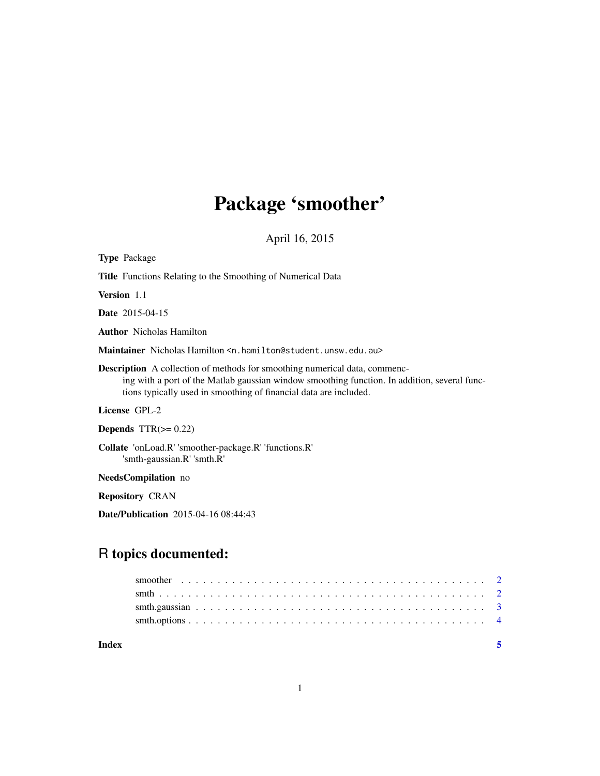# Package 'smoother'

April 16, 2015

<span id="page-0-0"></span>

| <b>Type Package</b>                                                                                                                                                                                                                                    |  |  |  |  |
|--------------------------------------------------------------------------------------------------------------------------------------------------------------------------------------------------------------------------------------------------------|--|--|--|--|
| <b>Title</b> Functions Relating to the Smoothing of Numerical Data                                                                                                                                                                                     |  |  |  |  |
| <b>Version</b> 1.1                                                                                                                                                                                                                                     |  |  |  |  |
| <b>Date</b> 2015-04-15                                                                                                                                                                                                                                 |  |  |  |  |
| <b>Author</b> Nicholas Hamilton                                                                                                                                                                                                                        |  |  |  |  |
| Maintainer Nicholas Hamilton < n, hamilton@student, unsw.edu.au>                                                                                                                                                                                       |  |  |  |  |
| <b>Description</b> A collection of methods for smoothing numerical data, commenc-<br>ing with a port of the Matlab gaussian window smoothing function. In addition, several func-<br>tions typically used in smoothing of financial data are included. |  |  |  |  |
| License GPL-2                                                                                                                                                                                                                                          |  |  |  |  |
| Depends $TTR(\geq 0.22)$                                                                                                                                                                                                                               |  |  |  |  |
| Collate 'onLoad.R' 'smoother-package.R' 'functions.R'<br>'smth-gaussian.R' 'smth.R'                                                                                                                                                                    |  |  |  |  |
| <b>NeedsCompilation</b> no                                                                                                                                                                                                                             |  |  |  |  |

Repository CRAN

Date/Publication 2015-04-16 08:44:43

# R topics documented:

| Index |  |
|-------|--|
|       |  |
|       |  |
|       |  |
|       |  |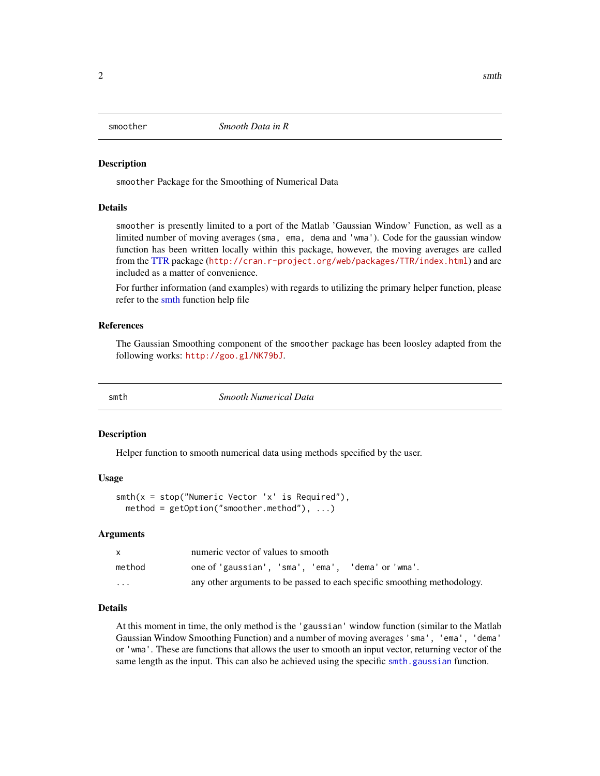<span id="page-1-0"></span>

#### **Description**

smoother Package for the Smoothing of Numerical Data

#### Details

smoother is presently limited to a port of the Matlab 'Gaussian Window' Function, as well as a limited number of moving averages (sma, ema, dema and 'wma'). Code for the gaussian window function has been written locally within this package, however, the moving averages are called from the [TTR](#page-0-0) package (<http://cran.r-project.org/web/packages/TTR/index.html>) and are included as a matter of convenience.

For further information (and examples) with regards to utilizing the primary helper function, please refer to the [smth](#page-1-1) function help file

#### References

The Gaussian Smoothing component of the smoother package has been loosley adapted from the following works: <http://goo.gl/NK79bJ>.

<span id="page-1-1"></span>

smth *Smooth Numerical Data*

#### Description

Helper function to smooth numerical data using methods specified by the user.

#### Usage

```
smth(x = stop("Numeric Vector 'x' is Required"),
 method = getOption("smoother.method"), ...)
```
#### Arguments

|                         | numeric vector of values to smooth                                       |  |  |
|-------------------------|--------------------------------------------------------------------------|--|--|
| method                  | one of 'gaussian', 'sma', 'ema', 'dema' or 'wma'.                        |  |  |
| $\cdot$ $\cdot$ $\cdot$ | any other arguments to be passed to each specific smoothing methodology. |  |  |

#### Details

At this moment in time, the only method is the 'gaussian' window function (similar to the Matlab Gaussian Window Smoothing Function) and a number of moving averages 'sma', 'ema', 'dema' or 'wma'. These are functions that allows the user to smooth an input vector, returning vector of the same length as the input. This can also be achieved using the specific [smth.gaussian](#page-2-1) function.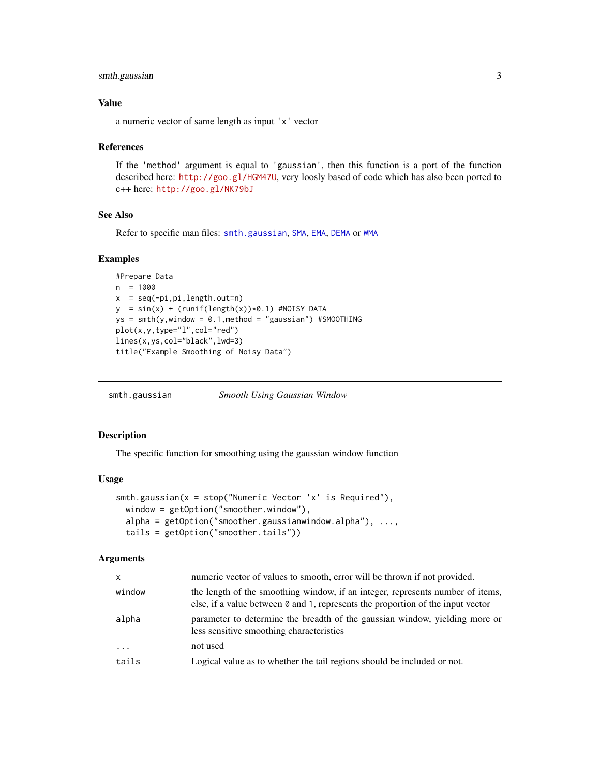# <span id="page-2-0"></span>smth.gaussian 3

#### Value

a numeric vector of same length as input 'x' vector

#### References

If the 'method' argument is equal to 'gaussian', then this function is a port of the function described here: <http://goo.gl/HGM47U>, very loosly based of code which has also been ported to c++ here: <http://goo.gl/NK79bJ>

#### See Also

Refer to specific man files: [smth.gaussian](#page-2-1), [SMA](#page-0-0), [EMA](#page-0-0), [DEMA](#page-0-0) or [WMA](#page-0-0)

# Examples

```
#Prepare Data
n = 1000
x = seq(-pi, pi, length.out=n)y = sin(x) + (runif(length(x))*0.1) #NOISY DATAys = smth(y, window = 0.1, method = "gaussian") #SMOOTHINGplot(x,y,type="l",col="red")
lines(x,ys,col="black",lwd=3)
title("Example Smoothing of Noisy Data")
```
<span id="page-2-1"></span>smth.gaussian *Smooth Using Gaussian Window*

#### Description

The specific function for smoothing using the gaussian window function

### Usage

```
smth.gaussian(x = stop("Numeric Vector 'x' is Required"),
 window = getOption("smoother.window"),
 alpha = getOption("smoother.gaussianwindow.alpha"), ...,
  tails = getOption("smoother.tails"))
```
#### Arguments

| <b>X</b> | numeric vector of values to smooth, error will be thrown if not provided.                                                                                                |  |
|----------|--------------------------------------------------------------------------------------------------------------------------------------------------------------------------|--|
| window   | the length of the smoothing window, if an integer, represents number of items,<br>else, if a value between $\theta$ and 1, represents the proportion of the input vector |  |
| alpha    | parameter to determine the breadth of the gaussian window, yielding more or<br>less sensitive smoothing characteristics                                                  |  |
| $\cdots$ | not used                                                                                                                                                                 |  |
| tails    | Logical value as to whether the tail regions should be included or not.                                                                                                  |  |
|          |                                                                                                                                                                          |  |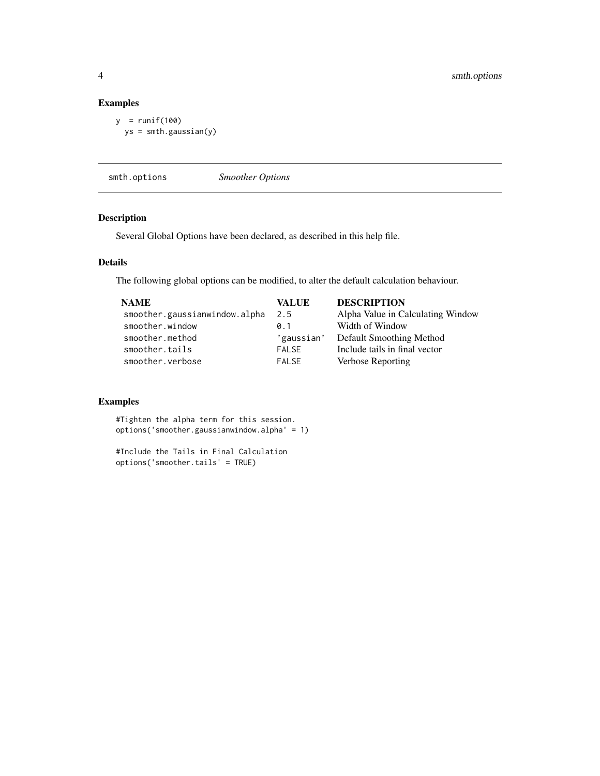# Examples

```
y = runif(100)ys = smth.gaussian(y)
```
smth.options *Smoother Options*

# Description

Several Global Options have been declared, as described in this help file.

## Details

The following global options can be modified, to alter the default calculation behaviour.

| <b>NAME</b>                   | VALUE        | <b>DESCRIPTION</b>                |
|-------------------------------|--------------|-----------------------------------|
| smoother.gaussianwindow.alpha | 2.5          | Alpha Value in Calculating Window |
| smoother.window               | 0.1          | Width of Window                   |
| smoother.method               | 'gaussian'   | Default Smoothing Method          |
| smoother.tails                | <b>FALSE</b> | Include tails in final vector     |
| smoother.verbose              | <b>FALSE</b> | Verbose Reporting                 |
|                               |              |                                   |

# Examples

#Tighten the alpha term for this session. options('smoother.gaussianwindow.alpha' = 1)

#Include the Tails in Final Calculation options('smoother.tails' = TRUE)

<span id="page-3-0"></span>